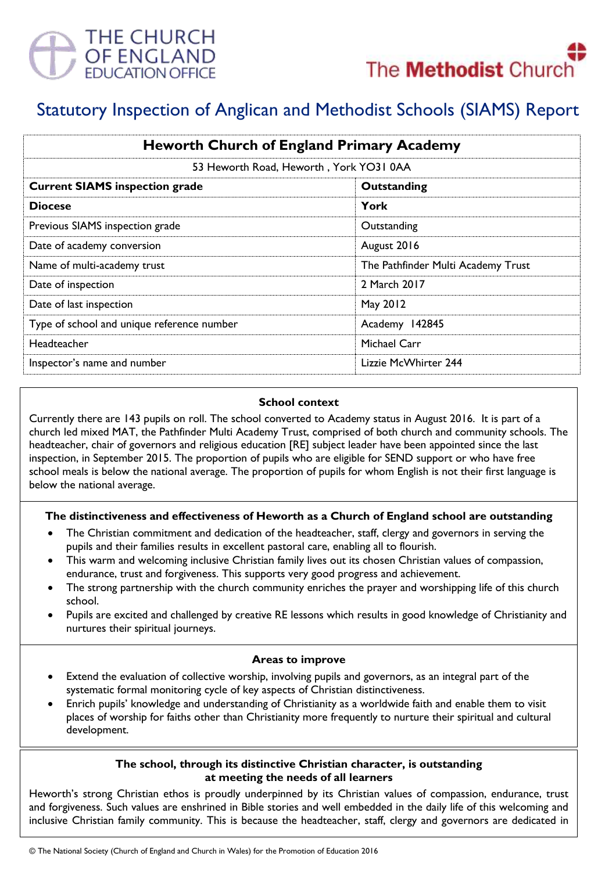



# Statutory Inspection of Anglican and Methodist Schools (SIAMS) Report

| <b>Heworth Church of England Primary Academy</b><br>53 Heworth Road, Heworth, York YO31 0AA |                                    |
|---------------------------------------------------------------------------------------------|------------------------------------|
|                                                                                             |                                    |
| <b>Diocese</b>                                                                              | York                               |
| Previous SIAMS inspection grade                                                             | Outstanding                        |
| Date of academy conversion                                                                  | August 2016                        |
| Name of multi-academy trust                                                                 | The Pathfinder Multi Academy Trust |
| Date of inspection                                                                          | 2 March 2017                       |
| Date of last inspection                                                                     | May 2012                           |
| Type of school and unique reference number                                                  | Academy 142845                     |
| Headteacher                                                                                 | Michael Carr                       |
| Inspector's name and number                                                                 | Lizzie McWhirter 244               |

## **School context**

Currently there are 143 pupils on roll. The school converted to Academy status in August 2016. It is part of a church led mixed MAT, the Pathfinder Multi Academy Trust, comprised of both church and community schools. The headteacher, chair of governors and religious education [RE] subject leader have been appointed since the last inspection, in September 2015. The proportion of pupils who are eligible for SEND support or who have free school meals is below the national average. The proportion of pupils for whom English is not their first language is below the national average.

# **The distinctiveness and effectiveness of Heworth as a Church of England school are outstanding**

- The Christian commitment and dedication of the headteacher, staff, clergy and governors in serving the pupils and their families results in excellent pastoral care, enabling all to flourish.
- This warm and welcoming inclusive Christian family lives out its chosen Christian values of compassion, endurance, trust and forgiveness. This supports very good progress and achievement.
- The strong partnership with the church community enriches the prayer and worshipping life of this church school.
- Pupils are excited and challenged by creative RE lessons which results in good knowledge of Christianity and nurtures their spiritual journeys.

#### **Areas to improve**

- Extend the evaluation of collective worship, involving pupils and governors, as an integral part of the systematic formal monitoring cycle of key aspects of Christian distinctiveness.
- Enrich pupils' knowledge and understanding of Christianity as a worldwide faith and enable them to visit places of worship for faiths other than Christianity more frequently to nurture their spiritual and cultural development.

## **The school, through its distinctive Christian character, is outstanding at meeting the needs of all learners**

Heworth's strong Christian ethos is proudly underpinned by its Christian values of compassion, endurance, trust and forgiveness. Such values are enshrined in Bible stories and well embedded in the daily life of this welcoming and inclusive Christian family community. This is because the headteacher, staff, clergy and governors are dedicated in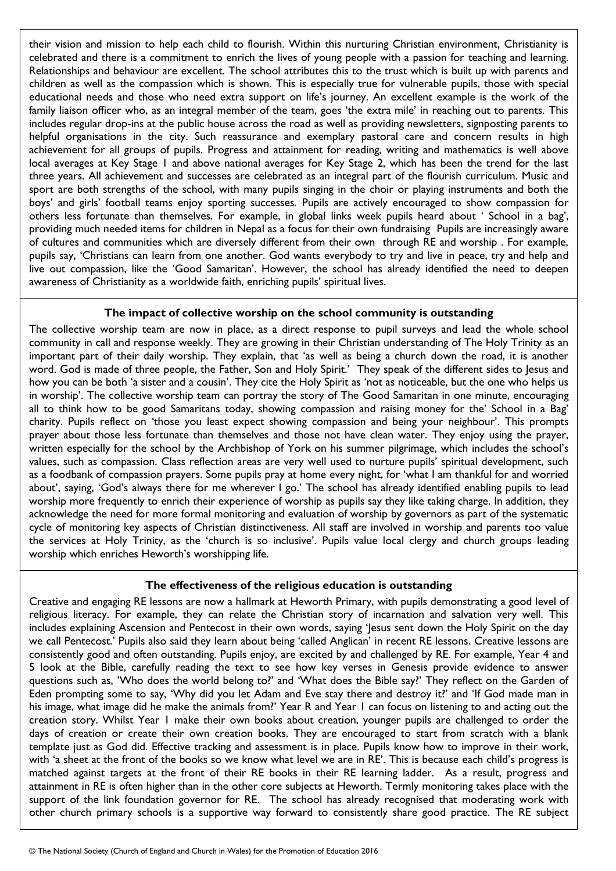their vision and mission to help each child to flourish. Within this nurturing Christian environment, Christianity is celebrated and there is a commitment to enrich the lives of young people with a passion for teaching and learning. Relationships and behaviour are excellent. The school attributes this to the trust which is built up with parents and children as well as the compassion which is shown. This is especially true for vulnerable pupils, those with special educational needs and those who need extra support on life's journey. An excellent example is the work of the family liaison officer who, as an integral member of the team, goes 'the extra mile' in reaching out to parents. This includes regular drop-ins at the public house across the road as well as providing newsletters, signposting parents to helpful organisations in the city. Such reassurance and exemplary pastoral care and concern results in high achievement for all groups of pupils. Progress and attainment for reading, writing and mathematics is well above local averages at Key Stage 1 and above national averages for Key Stage 2, which has been the trend for the last three years. All achievement and successes are celebrated as an integral part of the flourish curriculum. Music and sport are both strengths of the school, with many pupils singing in the choir or playing instruments and both the boys' and girls' football teams enjoy sporting successes. Pupils are actively encouraged to show compassion for others less fortunate than themselves. For example, in global links week pupils heard about ' School in a bag', providing much needed items for children in Nepal as a focus for their own fundraising Pupils are increasingly aware of cultures and communities which are diversely different from their own through RE and worship . For example, pupils say, 'Christians can learn from one another. God wants everybody to try and live in peace, try and help and live out compassion, like the 'Good Samaritan'. However, the school has already identified the need to deepen awareness of Christianity as a worldwide faith, enriching pupils' spiritual lives.

## **The impact of collective worship on the school community is outstanding**

The collective worship team are now in place, as a direct response to pupil surveys and lead the whole school community in call and response weekly. They are growing in their Christian understanding of The Holy Trinity as an important part of their daily worship. They explain, that 'as well as being a church down the road, it is another word. God is made of three people, the Father, Son and Holy Spirit.' They speak of the different sides to Jesus and how you can be both 'a sister and a cousin'. They cite the Holy Spirit as 'not as noticeable, but the one who helps us in worship'. The collective worship team can portray the story of The Good Samaritan in one minute, encouraging all to think how to be good Samaritans today, showing compassion and raising money for the' School in a Bag' charity. Pupils reflect on 'those you least expect showing compassion and being your neighbour'. This prompts prayer about those less fortunate than themselves and those not have clean water. They enjoy using the prayer, written especially for the school by the Archbishop of York on his summer pilgrimage, which includes the school's values, such as compassion. Class reflection areas are very well used to nurture pupils' spiritual development, such as a foodbank of compassion prayers. Some pupils pray at home every night, for 'what I am thankful for and worried about', saying, 'God's always there for me wherever I go.' The school has already identified enabling pupils to lead worship more frequently to enrich their experience of worship as pupils say they like taking charge. In addition, they acknowledge the need for more formal monitoring and evaluation of worship by governors as part of the systematic cycle of monitoring key aspects of Christian distinctiveness. All staff are involved in worship and parents too value the services at Holy Trinity, as the 'church is so inclusive'. Pupils value local clergy and church groups leading worship which enriches Heworth's worshipping life.

# **The effectiveness of the religious education is outstanding**

Creative and engaging RE lessons are now a hallmark at Heworth Primary, with pupils demonstrating a good level of religious literacy. For example, they can relate the Christian story of incarnation and salvation very well. This includes explaining Ascension and Pentecost in their own words, saying 'Jesus sent down the Holy Spirit on the day we call Pentecost.' Pupils also said they learn about being 'called Anglican' in recent RE lessons. Creative lessons are consistently good and often outstanding. Pupils enjoy, are excited by and challenged by RE. For example, Year 4 and 5 look at the Bible, carefully reading the text to see how key verses in Genesis provide evidence to answer questions such as, 'Who does the world belong to?' and 'What does the Bible say?' They reflect on the Garden of Eden prompting some to say, 'Why did you let Adam and Eve stay there and destroy it?' and 'If God made man in his image, what image did he make the animals from?' Year R and Year I can focus on listening to and acting out the creation story. Whilst Year 1 make their own books about creation, younger pupils are challenged to order the days of creation or create their own creation books. They are encouraged to start from scratch with a blank template just as God did. Effective tracking and assessment is in place. Pupils know how to improve in their work, with 'a sheet at the front of the books so we know what level we are in RE'. This is because each child's progress is matched against targets at the front of their RE books in their RE learning ladder. As a result, progress and attainment in RE is often higher than in the other core subjects at Heworth. Termly monitoring takes place with the support of the link foundation governor for RE. The school has already recognised that moderating work with other church primary schools is a supportive way forward to consistently share good practice. The RE subject